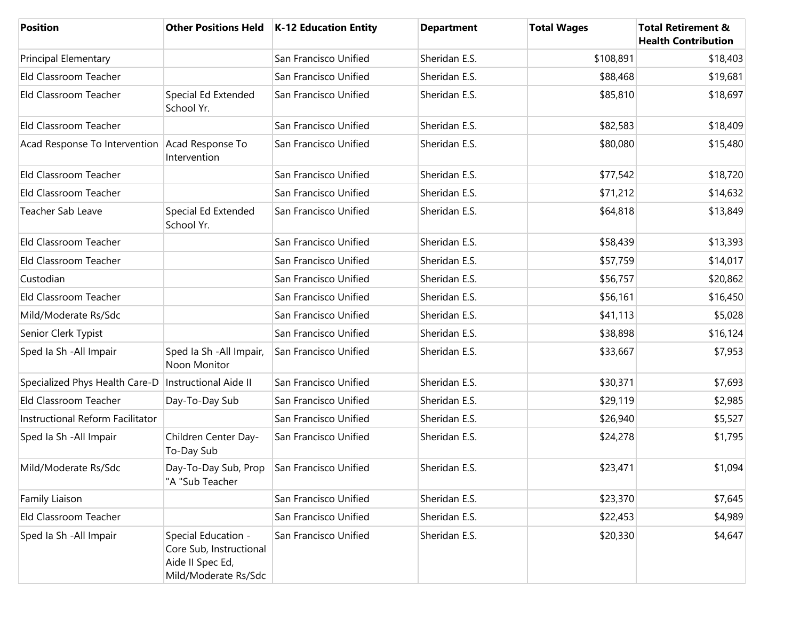| <b>Position</b>                                |                                                                                            | Other Positions Held   K-12 Education Entity | <b>Department</b> | <b>Total Wages</b> | <b>Total Retirement &amp;</b><br><b>Health Contribution</b> |
|------------------------------------------------|--------------------------------------------------------------------------------------------|----------------------------------------------|-------------------|--------------------|-------------------------------------------------------------|
| <b>Principal Elementary</b>                    |                                                                                            | San Francisco Unified                        | Sheridan E.S.     | \$108,891          | \$18,403                                                    |
| Eld Classroom Teacher                          |                                                                                            | San Francisco Unified                        | Sheridan E.S.     | \$88,468           | \$19,681                                                    |
| Eld Classroom Teacher                          | Special Ed Extended<br>School Yr.                                                          | San Francisco Unified                        | Sheridan E.S.     | \$85,810           | \$18,697                                                    |
| Eld Classroom Teacher                          |                                                                                            | San Francisco Unified                        | Sheridan E.S.     | \$82,583           | \$18,409                                                    |
| Acad Response To Intervention Acad Response To | Intervention                                                                               | San Francisco Unified                        | Sheridan E.S.     | \$80,080           | \$15,480                                                    |
| Eld Classroom Teacher                          |                                                                                            | San Francisco Unified                        | Sheridan E.S.     | \$77,542           | \$18,720                                                    |
| Eld Classroom Teacher                          |                                                                                            | San Francisco Unified                        | Sheridan E.S.     | \$71,212           | \$14,632                                                    |
| Teacher Sab Leave                              | Special Ed Extended<br>School Yr.                                                          | San Francisco Unified                        | Sheridan E.S.     | \$64,818           | \$13,849                                                    |
| Eld Classroom Teacher                          |                                                                                            | San Francisco Unified                        | Sheridan E.S.     | \$58,439           | \$13,393                                                    |
| Eld Classroom Teacher                          |                                                                                            | San Francisco Unified                        | Sheridan E.S.     | \$57,759           | \$14,017                                                    |
| Custodian                                      |                                                                                            | San Francisco Unified                        | Sheridan E.S.     | \$56,757           | \$20,862                                                    |
| Eld Classroom Teacher                          |                                                                                            | San Francisco Unified                        | Sheridan E.S.     | \$56,161           | \$16,450                                                    |
| Mild/Moderate Rs/Sdc                           |                                                                                            | San Francisco Unified                        | Sheridan E.S.     | \$41,113           | \$5,028                                                     |
| Senior Clerk Typist                            |                                                                                            | San Francisco Unified                        | Sheridan E.S.     | \$38,898           | \$16,124                                                    |
| Sped Ia Sh - All Impair                        | Sped Ia Sh - All Impair,<br>Noon Monitor                                                   | San Francisco Unified                        | Sheridan E.S.     | \$33,667           | \$7,953                                                     |
| Specialized Phys Health Care-D                 | <b>Instructional Aide II</b>                                                               | San Francisco Unified                        | Sheridan E.S.     | \$30,371           | \$7,693                                                     |
| Eld Classroom Teacher                          | Day-To-Day Sub                                                                             | San Francisco Unified                        | Sheridan E.S.     | \$29,119           | \$2,985                                                     |
| Instructional Reform Facilitator               |                                                                                            | San Francisco Unified                        | Sheridan E.S.     | \$26,940           | \$5,527                                                     |
| Sped Ia Sh - All Impair                        | Children Center Day-<br>To-Day Sub                                                         | San Francisco Unified                        | Sheridan E.S.     | \$24,278           | \$1,795                                                     |
| Mild/Moderate Rs/Sdc                           | Day-To-Day Sub, Prop<br>"A "Sub Teacher                                                    | San Francisco Unified                        | Sheridan E.S.     | \$23,471           | \$1,094                                                     |
| Family Liaison                                 |                                                                                            | San Francisco Unified                        | Sheridan E.S.     | \$23,370           | \$7,645                                                     |
| Eld Classroom Teacher                          |                                                                                            | San Francisco Unified                        | Sheridan E.S.     | \$22,453           | \$4,989                                                     |
| Sped Ia Sh - All Impair                        | Special Education -<br>Core Sub, Instructional<br>Aide II Spec Ed,<br>Mild/Moderate Rs/Sdc | San Francisco Unified                        | Sheridan E.S.     | \$20,330           | \$4,647                                                     |